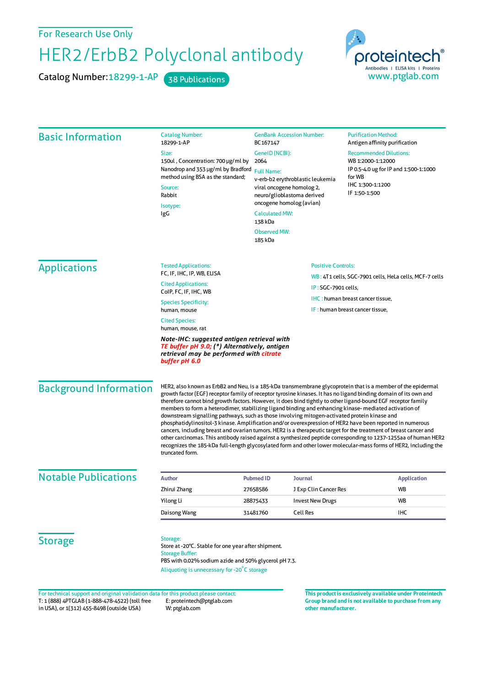For Research Use Only

## HER2/ErbB2 Polyclonal antibody

Catalog Number: 18299-1-AP 38 Publications



| <b>Basic Information</b>      | <b>Catalog Number:</b><br>18299-1-AP<br>Size:<br>150ul, Concentration: 700 µg/ml by<br>Nanodrop and 353 µg/ml by Bradford<br>method using BSA as the standard;<br>Source:<br>Rabbit<br>Isotype:<br>IgG                                                                                                                                                                                                                                                                                                                                                                                                                                                                                                                                                                                                                                                                                                                                                                                                                                                  | <b>GenBank Accession Number:</b><br>BC167147<br>GenelD (NCBI):<br>2064<br><b>Full Name:</b><br>v-erb-b2 erythroblastic leukemia<br>viral oncogene homolog 2,<br>neuro/glioblastoma derived<br>oncogene homolog (avian)<br><b>Calculated MW:</b><br>138 kDa<br><b>Observed MW:</b><br>185 kDa |                                                                                                                                                                                   | <b>Purification Method:</b><br>Antigen affinity purification<br><b>Recommended Dilutions:</b><br>WB 1:2000-1:12000<br>IP 0.5-4.0 ug for IP and 1:500-1:1000<br>for WB<br>IHC 1:300-1:1200<br>IF 1:50-1:500 |                    |  |
|-------------------------------|---------------------------------------------------------------------------------------------------------------------------------------------------------------------------------------------------------------------------------------------------------------------------------------------------------------------------------------------------------------------------------------------------------------------------------------------------------------------------------------------------------------------------------------------------------------------------------------------------------------------------------------------------------------------------------------------------------------------------------------------------------------------------------------------------------------------------------------------------------------------------------------------------------------------------------------------------------------------------------------------------------------------------------------------------------|----------------------------------------------------------------------------------------------------------------------------------------------------------------------------------------------------------------------------------------------------------------------------------------------|-----------------------------------------------------------------------------------------------------------------------------------------------------------------------------------|------------------------------------------------------------------------------------------------------------------------------------------------------------------------------------------------------------|--------------------|--|
| <b>Applications</b>           | <b>Tested Applications:</b><br>FC, IF, IHC, IP, WB, ELISA<br><b>Cited Applications:</b><br>ColP, FC, IF, IHC, WB<br><b>Species Specificity:</b><br>human, mouse<br><b>Cited Species:</b><br>human, mouse, rat<br>Note-IHC: suggested antigen retrieval with<br>TE buffer pH 9.0; (*) Alternatively, antigen<br>retrieval may be performed with citrate<br>buffer pH 6.0                                                                                                                                                                                                                                                                                                                                                                                                                                                                                                                                                                                                                                                                                 |                                                                                                                                                                                                                                                                                              | <b>Positive Controls:</b><br>WB: 4T1 cells, SGC-7901 cells, HeLa cells, MCF-7 cells<br>IP: SGC-7901 cells,<br>IHC: human breast cancer tissue,<br>IF: human breast cancer tissue, |                                                                                                                                                                                                            |                    |  |
| <b>Background Information</b> | HER2, also known as ErbB2 and Neu, is a 185-kDa transmembrane glycoprotein that is a member of the epidermal<br>growth factor (EGF) receptor family of receptor tyrosine kinases. It has no ligand binding domain of its own and<br>therefore cannot bind growth factors. However, it does bind tightly to other ligand-bound EGF receptor family<br>members to form a heterodimer, stabilizing ligand binding and enhancing kinase- mediated activation of<br>downstream signalling pathways, such as those involving mitogen-activated protein kinase and<br>phosphatidylinositol-3 kinase. Amplification and/or overexpression of HER2 have been reported in numerous<br>cancers, including breast and ovarian tumors. HER2 is a therapeutic target for the treatment of breast cancer and<br>other carcinomas. This antibody raised against a synthesized peptide corresponding to 1237-1255aa of human HER2<br>recognizes the 185-kDa full-length glycosylated form and other lower molecular-mass forms of HER2, including the<br>truncated form. |                                                                                                                                                                                                                                                                                              |                                                                                                                                                                                   |                                                                                                                                                                                                            |                    |  |
| <b>Notable Publications</b>   | <b>Author</b>                                                                                                                                                                                                                                                                                                                                                                                                                                                                                                                                                                                                                                                                                                                                                                                                                                                                                                                                                                                                                                           | <b>Pubmed ID</b>                                                                                                                                                                                                                                                                             | Journal                                                                                                                                                                           |                                                                                                                                                                                                            | <b>Application</b> |  |
|                               | Zhirui Zhang                                                                                                                                                                                                                                                                                                                                                                                                                                                                                                                                                                                                                                                                                                                                                                                                                                                                                                                                                                                                                                            | 27658586                                                                                                                                                                                                                                                                                     | J Exp Clin Cancer Res                                                                                                                                                             |                                                                                                                                                                                                            | WB                 |  |
|                               | Yilong Li                                                                                                                                                                                                                                                                                                                                                                                                                                                                                                                                                                                                                                                                                                                                                                                                                                                                                                                                                                                                                                               | 28875433                                                                                                                                                                                                                                                                                     | <b>Invest New Drugs</b>                                                                                                                                                           |                                                                                                                                                                                                            | WB                 |  |
|                               | Daisong Wang                                                                                                                                                                                                                                                                                                                                                                                                                                                                                                                                                                                                                                                                                                                                                                                                                                                                                                                                                                                                                                            | 31481760                                                                                                                                                                                                                                                                                     | Cell Res                                                                                                                                                                          |                                                                                                                                                                                                            | IHC                |  |
| <b>Storage</b>                | Storage:<br>Store at -20°C. Stable for one year after shipment.<br><b>Storage Buffer:</b><br>PBS with 0.02% sodium azide and 50% glycerol pH 7.3.<br>Aliquoting is unnecessary for -20°C storage                                                                                                                                                                                                                                                                                                                                                                                                                                                                                                                                                                                                                                                                                                                                                                                                                                                        |                                                                                                                                                                                                                                                                                              |                                                                                                                                                                                   |                                                                                                                                                                                                            |                    |  |

T: 1 (888) 4PTGLAB (1-888-478-4522) (toll free in USA), or 1(312) 455-8498 (outside USA) E: proteintech@ptglab.com W: ptglab.com Fortechnical support and original validation data forthis product please contact: **This productis exclusively available under Proteintech**

**Group brand and is not available to purchase from any other manufacturer.**